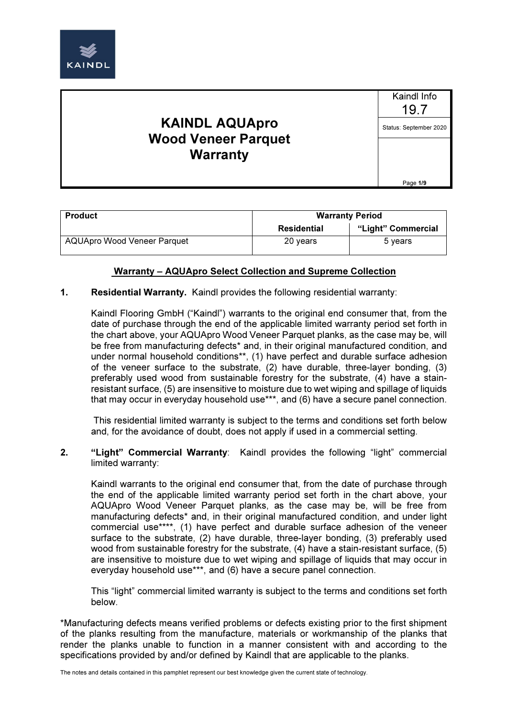

Kaindl Info 19.7 Status: September 2020

Page 1/9

| <b>Product</b>                     | <b>Warranty Period</b> |                    |
|------------------------------------|------------------------|--------------------|
|                                    | Residential            | "Light" Commercial |
| <b>AQUApro Wood Veneer Parquet</b> | 20 years               | 5 years            |

### Warranty – AQUApro Select Collection and Supreme Collection

#### 1. Residential Warranty. Kaindl provides the following residential warranty:

Kaindl Flooring GmbH ("Kaindl") warrants to the original end consumer that, from the date of purchase through the end of the applicable limited warranty period set forth in the chart above, your AQUApro Wood Veneer Parquet planks, as the case may be, will be free from manufacturing defects<sup>\*</sup> and, in their original manufactured condition, and under normal household conditions\*\*, (1) have perfect and durable surface adhesion of the veneer surface to the substrate, (2) have durable, three-layer bonding, (3) preferably used wood from sustainable forestry for the substrate, (4) have a stainresistant surface, (5) are insensitive to moisture due to wet wiping and spillage of liquids that may occur in everyday household use\*\*\*, and (6) have a secure panel connection.

 This residential limited warranty is subject to the terms and conditions set forth below and, for the avoidance of doubt, does not apply if used in a commercial setting.

2. "Light" Commercial Warranty: Kaindl provides the following "light" commercial limited warranty:

Kaindl warrants to the original end consumer that, from the date of purchase through the end of the applicable limited warranty period set forth in the chart above, your AQUApro Wood Veneer Parquet planks, as the case may be, will be free from manufacturing defects\* and, in their original manufactured condition, and under light commercial use\*\*\*\*, (1) have perfect and durable surface adhesion of the veneer surface to the substrate, (2) have durable, three-layer bonding, (3) preferably used wood from sustainable forestry for the substrate, (4) have a stain-resistant surface, (5) are insensitive to moisture due to wet wiping and spillage of liquids that may occur in everyday household use\*\*\*, and (6) have a secure panel connection.

This "light" commercial limited warranty is subject to the terms and conditions set forth below.

\*Manufacturing defects means verified problems or defects existing prior to the first shipment of the planks resulting from the manufacture, materials or workmanship of the planks that render the planks unable to function in a manner consistent with and according to the specifications provided by and/or defined by Kaindl that are applicable to the planks.

The notes and details contained in this pamphlet represent our best knowledge given the current state of technology.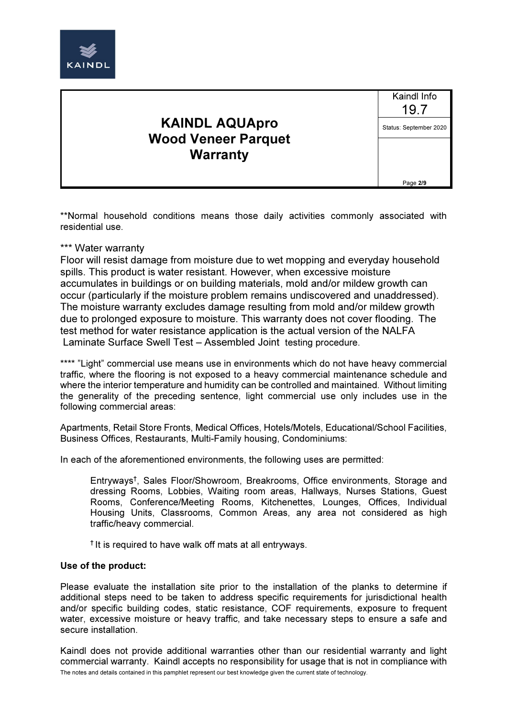

Kaindl Info 19.7 Status: September 2020

Page 2/9

\*\*Normal household conditions means those daily activities commonly associated with residential use.

#### \*\*\* Water warranty

Floor will resist damage from moisture due to wet mopping and everyday household spills. This product is water resistant. However, when excessive moisture accumulates in buildings or on building materials, mold and/or mildew growth can occur (particularly if the moisture problem remains undiscovered and unaddressed). The moisture warranty excludes damage resulting from mold and/or mildew growth due to prolonged exposure to moisture. This warranty does not cover flooding. The test method for water resistance application is the actual version of the NALFA Laminate Surface Swell Test – Assembled Joint testing procedure.

\*\*\*\* "Light" commercial use means use in environments which do not have heavy commercial traffic, where the flooring is not exposed to a heavy commercial maintenance schedule and where the interior temperature and humidity can be controlled and maintained. Without limiting the generality of the preceding sentence, light commercial use only includes use in the following commercial areas:

Apartments, Retail Store Fronts, Medical Offices, Hotels/Motels, Educational/School Facilities, Business Offices, Restaurants, Multi-Family housing, Condominiums:

In each of the aforementioned environments, the following uses are permitted:

Entryways† , Sales Floor/Showroom, Breakrooms, Office environments, Storage and dressing Rooms, Lobbies, Waiting room areas, Hallways, Nurses Stations, Guest Rooms, Conference/Meeting Rooms, Kitchenettes, Lounges, Offices, Individual Housing Units, Classrooms, Common Areas, any area not considered as high traffic/heavy commercial.

† It is required to have walk off mats at all entryways.

#### Use of the product:

Please evaluate the installation site prior to the installation of the planks to determine if additional steps need to be taken to address specific requirements for jurisdictional health and/or specific building codes, static resistance, COF requirements, exposure to frequent water, excessive moisture or heavy traffic, and take necessary steps to ensure a safe and secure installation.

The notes and details contained in this pamphlet represent our best knowledge given the current state of technology. Kaindl does not provide additional warranties other than our residential warranty and light commercial warranty. Kaindl accepts no responsibility for usage that is not in compliance with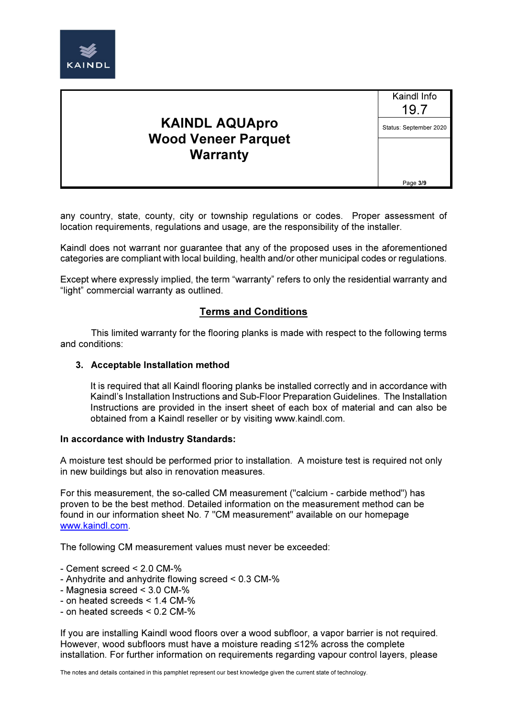

Kaindl Info 19.7 Status: September 2020

Page 3/9

any country, state, county, city or township regulations or codes. Proper assessment of location requirements, regulations and usage, are the responsibility of the installer.

Kaindl does not warrant nor guarantee that any of the proposed uses in the aforementioned categories are compliant with local building, health and/or other municipal codes or regulations.

Except where expressly implied, the term "warranty" refers to only the residential warranty and "light" commercial warranty as outlined.

### Terms and Conditions

This limited warranty for the flooring planks is made with respect to the following terms and conditions:

#### 3. Acceptable Installation method

It is required that all Kaindl flooring planks be installed correctly and in accordance with Kaindl's Installation Instructions and Sub-Floor Preparation Guidelines. The Installation Instructions are provided in the insert sheet of each box of material and can also be obtained from a Kaindl reseller or by visiting www.kaindl.com.

#### In accordance with Industry Standards:

A moisture test should be performed prior to installation. A moisture test is required not only in new buildings but also in renovation measures.

For this measurement, the so-called CM measurement ("calcium - carbide method") has proven to be the best method. Detailed information on the measurement method can be found in our information sheet No. 7 "CM measurement" available on our homepage www.kaindl.com.

The following CM measurement values must never be exceeded:

- Cement screed < 2.0 CM-%
- Anhydrite and anhydrite flowing screed < 0.3 CM-%
- Magnesia screed < 3.0 CM-%
- on heated screeds < 1.4 CM-%
- on heated screeds < 0.2 CM-%

If you are installing Kaindl wood floors over a wood subfloor, a vapor barrier is not required. However, wood subfloors must have a moisture reading ≤12% across the complete installation. For further information on requirements regarding vapour control layers, please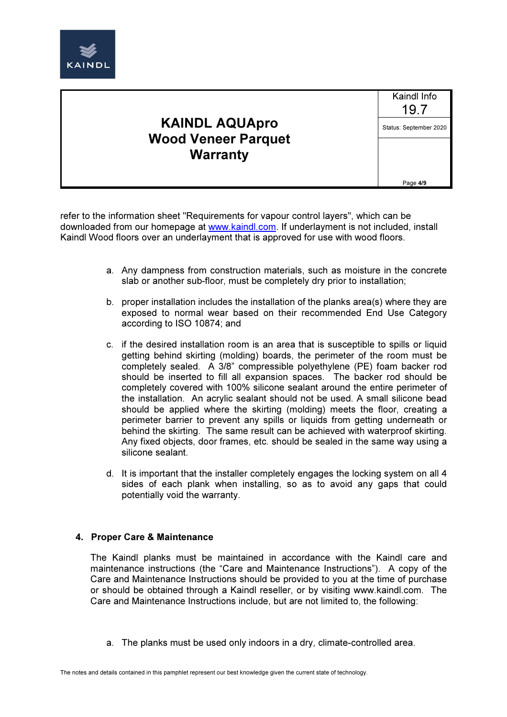

Kaindl Info 19.7 Status: September 2020

Page 4/9

refer to the information sheet "Requirements for vapour control layers", which can be downloaded from our homepage at www.kaindl.com. If underlayment is not included, install Kaindl Wood floors over an underlayment that is approved for use with wood floors.

- a. Any dampness from construction materials, such as moisture in the concrete slab or another sub-floor, must be completely dry prior to installation;
- b. proper installation includes the installation of the planks area(s) where they are exposed to normal wear based on their recommended End Use Category according to ISO 10874; and
- c. if the desired installation room is an area that is susceptible to spills or liquid getting behind skirting (molding) boards, the perimeter of the room must be completely sealed. A 3/8" compressible polyethylene (PE) foam backer rod should be inserted to fill all expansion spaces. The backer rod should be completely covered with 100% silicone sealant around the entire perimeter of the installation. An acrylic sealant should not be used. A small silicone bead should be applied where the skirting (molding) meets the floor, creating a perimeter barrier to prevent any spills or liquids from getting underneath or behind the skirting. The same result can be achieved with waterproof skirting. Any fixed objects, door frames, etc. should be sealed in the same way using a silicone sealant.
- d. It is important that the installer completely engages the locking system on all 4 sides of each plank when installing, so as to avoid any gaps that could potentially void the warranty.

### 4. Proper Care & Maintenance

The Kaindl planks must be maintained in accordance with the Kaindl care and maintenance instructions (the "Care and Maintenance Instructions"). A copy of the Care and Maintenance Instructions should be provided to you at the time of purchase or should be obtained through a Kaindl reseller, or by visiting www.kaindl.com. The Care and Maintenance Instructions include, but are not limited to, the following:

a. The planks must be used only indoors in a dry, climate-controlled area.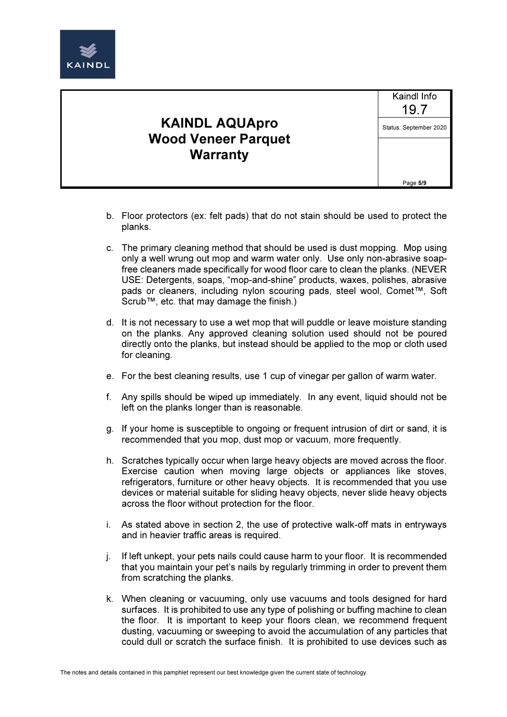

Kaindl Info 19.7 Status: September 2020

Page 5/9

- b. Floor protectors (ex: felt pads) that do not stain should be used to protect the planks.
- c. The primary cleaning method that should be used is dust mopping. Mop using only a well wrung out mop and warm water only. Use only non-abrasive soapfree cleaners made specifically for wood floor care to clean the planks. (NEVER USE: Detergents, soaps, "mop-and-shine" products, waxes, polishes, abrasive pads or cleaners, including nylon scouring pads, steel wool, Comet™, Soft Scrub™, etc. that may damage the finish.)
- d. It is not necessary to use a wet mop that will puddle or leave moisture standing on the planks. Any approved cleaning solution used should not be poured directly onto the planks, but instead should be applied to the mop or cloth used for cleaning.
- e. For the best cleaning results, use 1 cup of vinegar per gallon of warm water.
- f. Any spills should be wiped up immediately. In any event, liquid should not be left on the planks longer than is reasonable.
- g. If your home is susceptible to ongoing or frequent intrusion of dirt or sand, it is recommended that you mop, dust mop or vacuum, more frequently.
- h. Scratches typically occur when large heavy objects are moved across the floor. Exercise caution when moving large objects or appliances like stoves, refrigerators, furniture or other heavy objects. It is recommended that you use devices or material suitable for sliding heavy objects, never slide heavy objects across the floor without protection for the floor.
- i. As stated above in section 2, the use of protective walk-off mats in entryways and in heavier traffic areas is required.
- j. If left unkept, your pets nails could cause harm to your floor. It is recommended that you maintain your pet's nails by regularly trimming in order to prevent them from scratching the planks.
- k. When cleaning or vacuuming, only use vacuums and tools designed for hard surfaces. It is prohibited to use any type of polishing or buffing machine to clean the floor. It is important to keep your floors clean, we recommend frequent dusting, vacuuming or sweeping to avoid the accumulation of any particles that could dull or scratch the surface finish. It is prohibited to use devices such as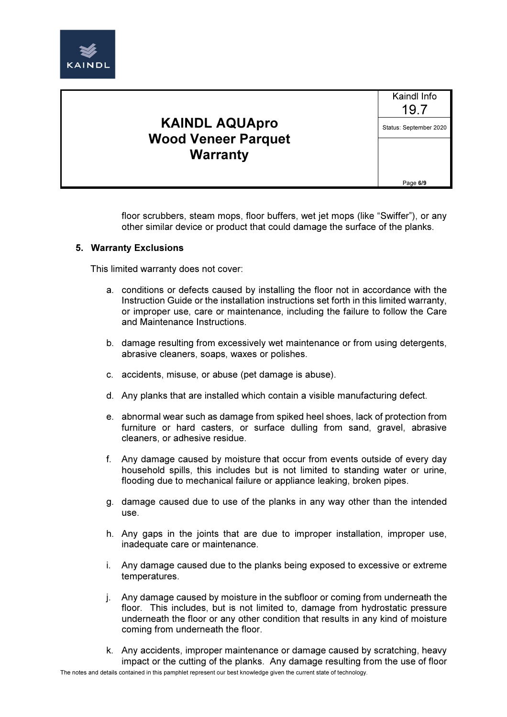

Kaindl Info 19.7 Status: September 2020

Page 6/9

floor scrubbers, steam mops, floor buffers, wet jet mops (like "Swiffer"), or any other similar device or product that could damage the surface of the planks.

#### 5. Warranty Exclusions

This limited warranty does not cover:

- a. conditions or defects caused by installing the floor not in accordance with the Instruction Guide or the installation instructions set forth in this limited warranty, or improper use, care or maintenance, including the failure to follow the Care and Maintenance Instructions.
- b. damage resulting from excessively wet maintenance or from using detergents, abrasive cleaners, soaps, waxes or polishes.
- c. accidents, misuse, or abuse (pet damage is abuse).
- d. Any planks that are installed which contain a visible manufacturing defect.
- e. abnormal wear such as damage from spiked heel shoes, lack of protection from furniture or hard casters, or surface dulling from sand, gravel, abrasive cleaners, or adhesive residue.
- f. Any damage caused by moisture that occur from events outside of every day household spills, this includes but is not limited to standing water or urine, flooding due to mechanical failure or appliance leaking, broken pipes.
- g. damage caused due to use of the planks in any way other than the intended use.
- h. Any gaps in the joints that are due to improper installation, improper use, inadequate care or maintenance.
- i. Any damage caused due to the planks being exposed to excessive or extreme temperatures.
- j. Any damage caused by moisture in the subfloor or coming from underneath the floor. This includes, but is not limited to, damage from hydrostatic pressure underneath the floor or any other condition that results in any kind of moisture coming from underneath the floor.
- k. Any accidents, improper maintenance or damage caused by scratching, heavy impact or the cutting of the planks. Any damage resulting from the use of floor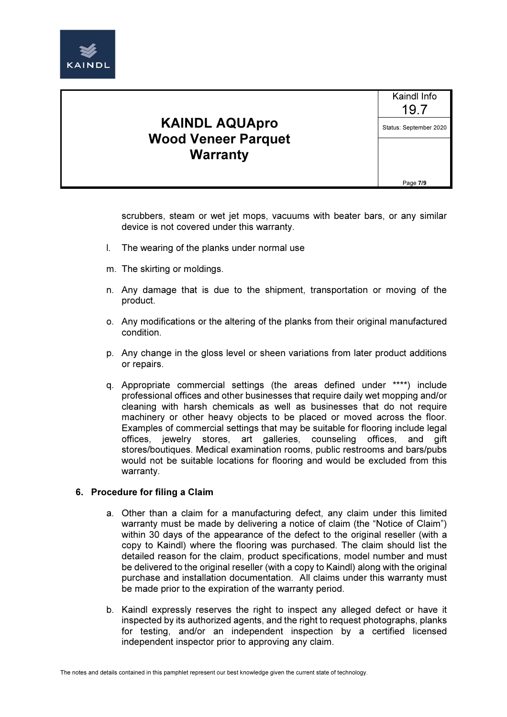

Kaindl Info 19.7 Status: September 2020

Page 7/9

scrubbers, steam or wet jet mops, vacuums with beater bars, or any similar device is not covered under this warranty.

- l. The wearing of the planks under normal use
- m. The skirting or moldings.
- n. Any damage that is due to the shipment, transportation or moving of the product.
- o. Any modifications or the altering of the planks from their original manufactured condition.
- p. Any change in the gloss level or sheen variations from later product additions or repairs.
- q. Appropriate commercial settings (the areas defined under \*\*\*\*) include professional offices and other businesses that require daily wet mopping and/or cleaning with harsh chemicals as well as businesses that do not require machinery or other heavy objects to be placed or moved across the floor. Examples of commercial settings that may be suitable for flooring include legal offices, jewelry stores, art galleries, counseling offices, and gift stores/boutiques. Medical examination rooms, public restrooms and bars/pubs would not be suitable locations for flooring and would be excluded from this warranty.

#### 6. Procedure for filing a Claim

- a. Other than a claim for a manufacturing defect, any claim under this limited warranty must be made by delivering a notice of claim (the "Notice of Claim") within 30 days of the appearance of the defect to the original reseller (with a copy to Kaindl) where the flooring was purchased. The claim should list the detailed reason for the claim, product specifications, model number and must be delivered to the original reseller (with a copy to Kaindl) along with the original purchase and installation documentation. All claims under this warranty must be made prior to the expiration of the warranty period.
- b. Kaindl expressly reserves the right to inspect any alleged defect or have it inspected by its authorized agents, and the right to request photographs, planks for testing, and/or an independent inspection by a certified licensed independent inspector prior to approving any claim.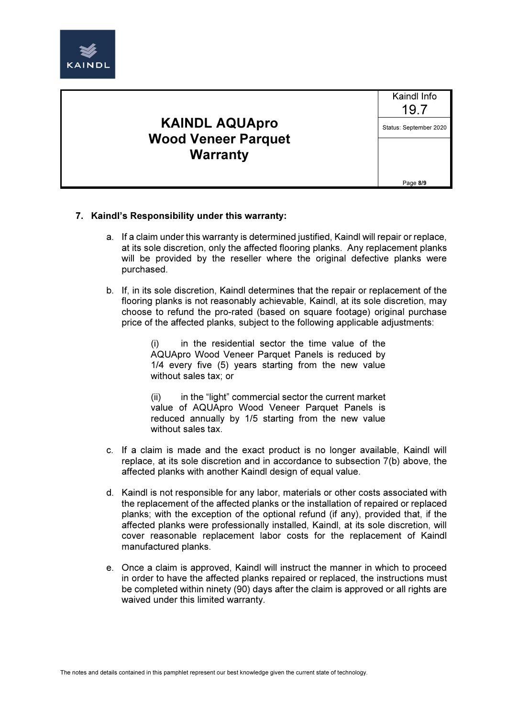

Kaindl Info 19.7 Status: September 2020

Page 8/9

#### 7. Kaindl's Responsibility under this warranty:

- a. If a claim under this warranty is determined justified, Kaindl will repair or replace, at its sole discretion, only the affected flooring planks. Any replacement planks will be provided by the reseller where the original defective planks were purchased.
- b. If, in its sole discretion, Kaindl determines that the repair or replacement of the flooring planks is not reasonably achievable, Kaindl, at its sole discretion, may choose to refund the pro-rated (based on square footage) original purchase price of the affected planks, subject to the following applicable adjustments:

(i) in the residential sector the time value of the AQUApro Wood Veneer Parquet Panels is reduced by 1/4 every five (5) years starting from the new value without sales tax; or

(ii) in the "light" commercial sector the current market value of AQUApro Wood Veneer Parquet Panels is reduced annually by 1/5 starting from the new value without sales tax.

- c. If a claim is made and the exact product is no longer available, Kaindl will replace, at its sole discretion and in accordance to subsection 7(b) above, the affected planks with another Kaindl design of equal value.
- d. Kaindl is not responsible for any labor, materials or other costs associated with the replacement of the affected planks or the installation of repaired or replaced planks; with the exception of the optional refund (if any), provided that, if the affected planks were professionally installed, Kaindl, at its sole discretion, will cover reasonable replacement labor costs for the replacement of Kaindl manufactured planks.
- e. Once a claim is approved, Kaindl will instruct the manner in which to proceed in order to have the affected planks repaired or replaced, the instructions must be completed within ninety (90) days after the claim is approved or all rights are waived under this limited warranty.